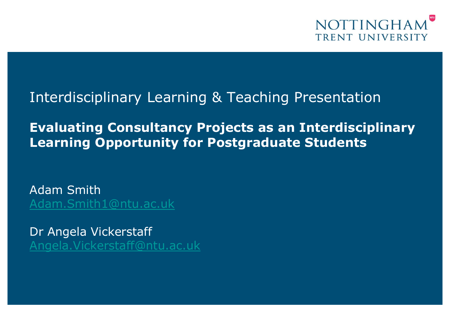

### Interdisciplinary Learning & Teaching Presentation

**Evaluating Consultancy Projects as an Interdisciplinary Learning Opportunity for Postgraduate Students**

Adam Smith [Adam.Smith1@ntu.ac.uk](mailto:Adam.Smith1@ntu.ac.uk)

Dr Angela Vickerstaff [Angela.Vickerstaff@ntu.ac.uk](mailto:Angela.Vickerstaff@ntu.ac.uk)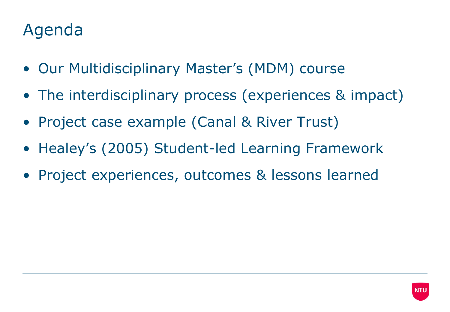### Agenda

- Our Multidisciplinary Master's (MDM) course
- The interdisciplinary process (experiences & impact)
- Project case example (Canal & River Trust)
- Healey's (2005) Student-led Learning Framework
- Project experiences, outcomes & lessons learned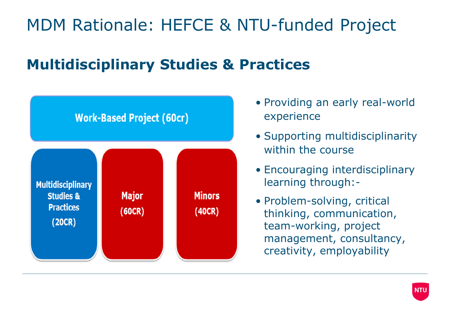# MDM Rationale: HEFCE & NTU-funded Project

### **Multidisciplinary Studies & Practices**



- Providing an early real-world experience
- Supporting multidisciplinarity within the course
- Encouraging interdisciplinary learning through:-
- Problem-solving, critical thinking, communication, team-working, project management, consultancy, creativity, employability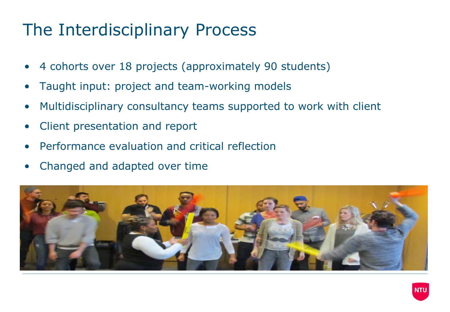## The Interdisciplinary Process

- 4 cohorts over 18 projects (approximately 90 students)
- Taught input: project and team-working models
- Multidisciplinary consultancy teams supported to work with client
- Client presentation and report
- Performance evaluation and critical reflection
- Changed and adapted over time

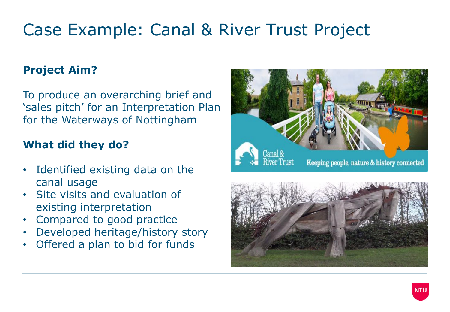# Case Example: Canal & River Trust Project

#### **Project Aim?**

To produce an overarching brief and 'sales pitch' for an Interpretation Plan for the Waterways of Nottingham

#### **What did they do?**

- Identified existing data on the canal usage
- Site visits and evaluation of existing interpretation
- Compared to good practice
- Developed heritage/history story
- Offered a plan to bid for funds





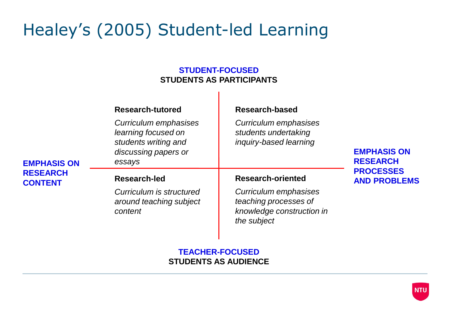## Healey's (2005) Student-led Learning

#### **STUDENT-FOCUSED STUDENTS AS PARTICIPANTS**

|                                                         | <b>Research-tutored</b><br>Curriculum emphasises<br>learning focused on | <b>Research-based</b><br>Curriculum emphasises<br>students undertaking                     |                                                                                  |
|---------------------------------------------------------|-------------------------------------------------------------------------|--------------------------------------------------------------------------------------------|----------------------------------------------------------------------------------|
| <b>EMPHASIS ON</b><br><b>RESEARCH</b><br><b>CONTENT</b> | students writing and<br>discussing papers or<br>essays                  | inquiry-based learning                                                                     | <b>EMPHASIS ON</b><br><b>RESEARCH</b><br><b>PROCESSES</b><br><b>AND PROBLEMS</b> |
|                                                         | Research-led                                                            | <b>Research-oriented</b>                                                                   |                                                                                  |
|                                                         | Curriculum is structured<br>around teaching subject<br>content          | Curriculum emphasises<br>teaching processes of<br>knowledge construction in<br>the subject |                                                                                  |

**TEACHER-FOCUSED STUDENTS AS AUDIENCE**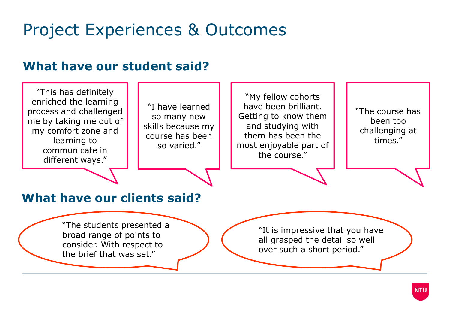### Project Experiences & Outcomes

#### **What have our student said?**